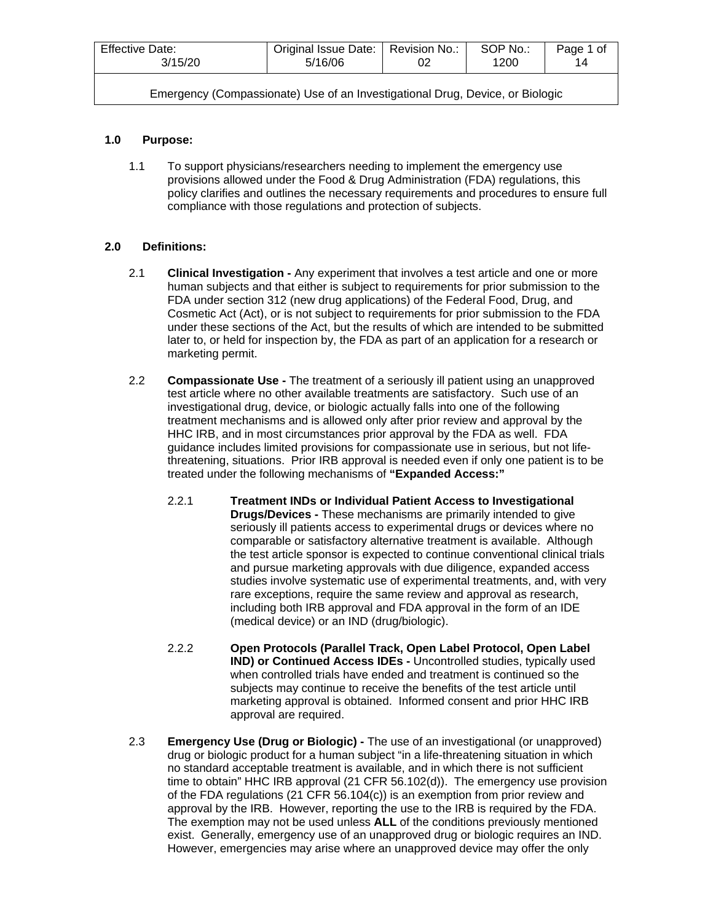| Effective Date:                                                               | Original Issue Date:   Revision No.: | 02 | SOP No.: | Page 1 of |  |
|-------------------------------------------------------------------------------|--------------------------------------|----|----------|-----------|--|
| 3/15/20                                                                       | 5/16/06                              |    | 1200     | 14        |  |
| Emergency (Compassionate) Use of an Investigational Drug, Device, or Biologic |                                      |    |          |           |  |

# **1.0 Purpose:**

1.1 To support physicians/researchers needing to implement the emergency use provisions allowed under the Food & Drug Administration (FDA) regulations, this policy clarifies and outlines the necessary requirements and procedures to ensure full compliance with those regulations and protection of subjects.

# **2.0 Definitions:**

- 2.1 **Clinical Investigation -** Any experiment that involves a test article and one or more human subjects and that either is subject to requirements for prior submission to the FDA under section 312 (new drug applications) of the Federal Food, Drug, and Cosmetic Act (Act), or is not subject to requirements for prior submission to the FDA under these sections of the Act, but the results of which are intended to be submitted later to, or held for inspection by, the FDA as part of an application for a research or marketing permit.
- 2.2 **Compassionate Use -** The treatment of a seriously ill patient using an unapproved test article where no other available treatments are satisfactory. Such use of an investigational drug, device, or biologic actually falls into one of the following treatment mechanisms and is allowed only after prior review and approval by the HHC IRB, and in most circumstances prior approval by the FDA as well. FDA guidance includes limited provisions for compassionate use in serious, but not lifethreatening, situations. Prior IRB approval is needed even if only one patient is to be treated under the following mechanisms of **"Expanded Access:"**
	- 2.2.1 **Treatment INDs or Individual Patient Access to Investigational Drugs/Devices -** These mechanisms are primarily intended to give seriously ill patients access to experimental drugs or devices where no comparable or satisfactory alternative treatment is available. Although the test article sponsor is expected to continue conventional clinical trials and pursue marketing approvals with due diligence, expanded access studies involve systematic use of experimental treatments, and, with very rare exceptions, require the same review and approval as research, including both IRB approval and FDA approval in the form of an IDE (medical device) or an IND (drug/biologic).
	- 2.2.2 **Open Protocols (Parallel Track, Open Label Protocol, Open Label IND) or Continued Access IDEs -** Uncontrolled studies, typically used when controlled trials have ended and treatment is continued so the subjects may continue to receive the benefits of the test article until marketing approval is obtained. Informed consent and prior HHC IRB approval are required.
- 2.3 **Emergency Use (Drug or Biologic) -** The use of an investigational (or unapproved) drug or biologic product for a human subject "in a life-threatening situation in which no standard acceptable treatment is available, and in which there is not sufficient time to obtain" HHC IRB approval (21 CFR 56.102(d)). The emergency use provision of the FDA regulations (21 CFR 56.104(c)) is an exemption from prior review and approval by the IRB. However, reporting the use to the IRB is required by the FDA. The exemption may not be used unless **ALL** of the conditions previously mentioned exist. Generally, emergency use of an unapproved drug or biologic requires an IND. However, emergencies may arise where an unapproved device may offer the only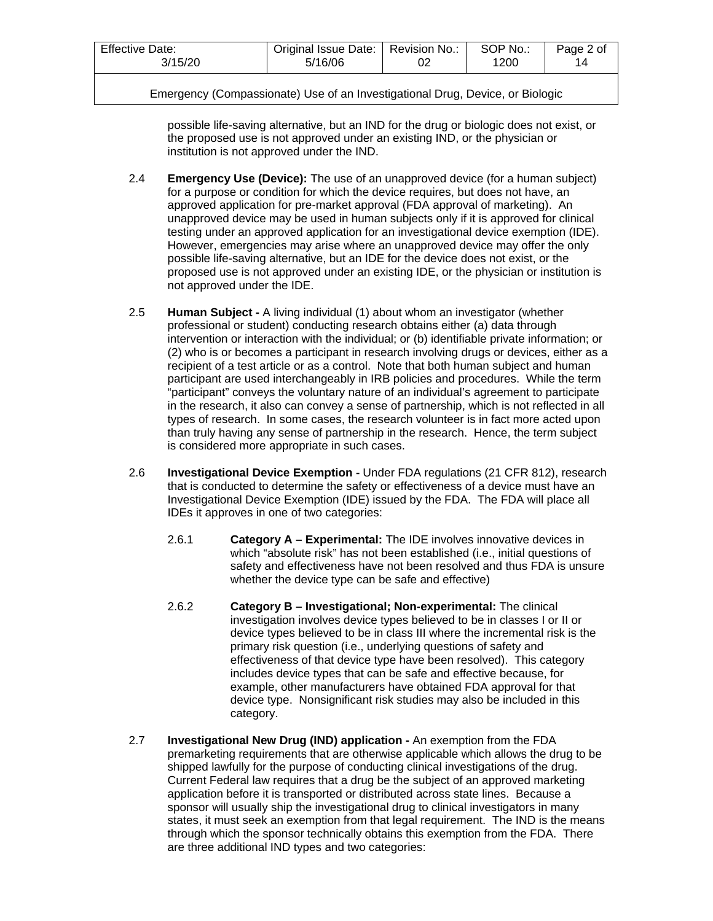| <b>Effective Date:</b>                                                        | Original Issue Date:   Revision No.: |  | SOP No.: | Page 2 of |
|-------------------------------------------------------------------------------|--------------------------------------|--|----------|-----------|
| 3/15/20                                                                       | 5/16/06                              |  | 1200     | 14        |
| Emergency (Compassionate) Use of an Investigational Drug, Device, or Biologic |                                      |  |          |           |

possible life-saving alternative, but an IND for the drug or biologic does not exist, or the proposed use is not approved under an existing IND, or the physician or institution is not approved under the IND.

- 2.4 **Emergency Use (Device):** The use of an unapproved device (for a human subject) for a purpose or condition for which the device requires, but does not have, an approved application for pre-market approval (FDA approval of marketing). An unapproved device may be used in human subjects only if it is approved for clinical testing under an approved application for an investigational device exemption (IDE). However, emergencies may arise where an unapproved device may offer the only possible life-saving alternative, but an IDE for the device does not exist, or the proposed use is not approved under an existing IDE, or the physician or institution is not approved under the IDE.
- 2.5 **Human Subject -** A living individual (1) about whom an investigator (whether professional or student) conducting research obtains either (a) data through intervention or interaction with the individual; or (b) identifiable private information; or (2) who is or becomes a participant in research involving drugs or devices, either as a recipient of a test article or as a control. Note that both human subject and human participant are used interchangeably in IRB policies and procedures. While the term "participant" conveys the voluntary nature of an individual's agreement to participate in the research, it also can convey a sense of partnership, which is not reflected in all types of research. In some cases, the research volunteer is in fact more acted upon than truly having any sense of partnership in the research. Hence, the term subject is considered more appropriate in such cases.
- 2.6 **Investigational Device Exemption -** Under FDA regulations (21 CFR 812), research that is conducted to determine the safety or effectiveness of a device must have an Investigational Device Exemption (IDE) issued by the FDA. The FDA will place all IDEs it approves in one of two categories:
	- 2.6.1 **Category A – Experimental:** The IDE involves innovative devices in which "absolute risk" has not been established (i.e., initial questions of safety and effectiveness have not been resolved and thus FDA is unsure whether the device type can be safe and effective)
	- 2.6.2 **Category B – Investigational; Non-experimental:** The clinical investigation involves device types believed to be in classes I or II or device types believed to be in class III where the incremental risk is the primary risk question (i.e., underlying questions of safety and effectiveness of that device type have been resolved). This category includes device types that can be safe and effective because, for example, other manufacturers have obtained FDA approval for that device type. Nonsignificant risk studies may also be included in this category.
- 2.7 **Investigational New Drug (IND) application -** An exemption from the FDA premarketing requirements that are otherwise applicable which allows the drug to be shipped lawfully for the purpose of conducting clinical investigations of the drug. Current Federal law requires that a drug be the subject of an approved marketing application before it is transported or distributed across state lines. Because a sponsor will usually ship the investigational drug to clinical investigators in many states, it must seek an exemption from that legal requirement. The IND is the means through which the sponsor technically obtains this exemption from the FDA. There are three additional IND types and two categories: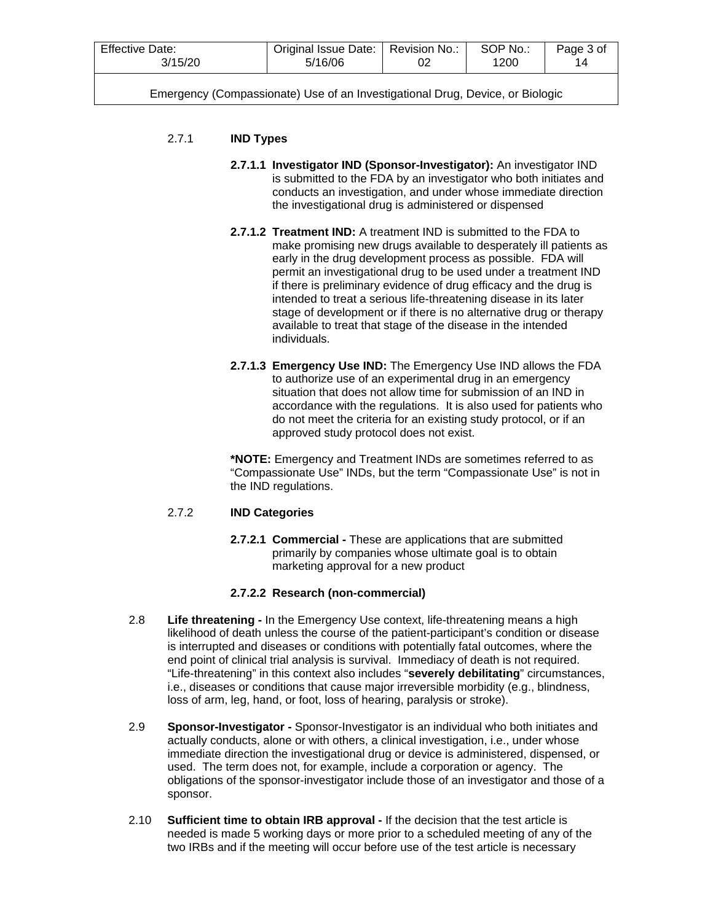| <b>Effective Date:</b> | Original Issue Date:   Revision No.: | SOP No.: | Page 3 of |
|------------------------|--------------------------------------|----------|-----------|
| 3/15/20                | 5/16/06                              | 1200     | 14        |
|                        |                                      |          |           |

# 2.7.1 **IND Types**

- **2.7.1.1 Investigator IND (Sponsor-Investigator):** An investigator IND is submitted to the FDA by an investigator who both initiates and conducts an investigation, and under whose immediate direction the investigational drug is administered or dispensed
- **2.7.1.2 Treatment IND:** A treatment IND is submitted to the FDA to make promising new drugs available to desperately ill patients as early in the drug development process as possible. FDA will permit an investigational drug to be used under a treatment IND if there is preliminary evidence of drug efficacy and the drug is intended to treat a serious life-threatening disease in its later stage of development or if there is no alternative drug or therapy available to treat that stage of the disease in the intended individuals.
- **2.7.1.3 Emergency Use IND:** The Emergency Use IND allows the FDA to authorize use of an experimental drug in an emergency situation that does not allow time for submission of an IND in accordance with the regulations. It is also used for patients who do not meet the criteria for an existing study protocol, or if an approved study protocol does not exist.

**\*NOTE:** Emergency and Treatment INDs are sometimes referred to as "Compassionate Use" INDs, but the term "Compassionate Use" is not in the IND regulations.

# 2.7.2 **IND Categories**

**2.7.2.1 Commercial -** These are applications that are submitted primarily by companies whose ultimate goal is to obtain marketing approval for a new product

# **2.7.2.2 Research (non-commercial)**

- 2.8 **Life threatening -** In the Emergency Use context, life-threatening means a high likelihood of death unless the course of the patient-participant's condition or disease is interrupted and diseases or conditions with potentially fatal outcomes, where the end point of clinical trial analysis is survival. Immediacy of death is not required. "Life-threatening" in this context also includes "**severely debilitating**" circumstances, i.e., diseases or conditions that cause major irreversible morbidity (e.g., blindness, loss of arm, leg, hand, or foot, loss of hearing, paralysis or stroke).
- 2.9 **Sponsor-Investigator -** Sponsor-Investigator is an individual who both initiates and actually conducts, alone or with others, a clinical investigation, i.e., under whose immediate direction the investigational drug or device is administered, dispensed, or used. The term does not, for example, include a corporation or agency. The obligations of the sponsor-investigator include those of an investigator and those of a sponsor.
- 2.10 **Sufficient time to obtain IRB approval -** If the decision that the test article is needed is made 5 working days or more prior to a scheduled meeting of any of the two IRBs and if the meeting will occur before use of the test article is necessary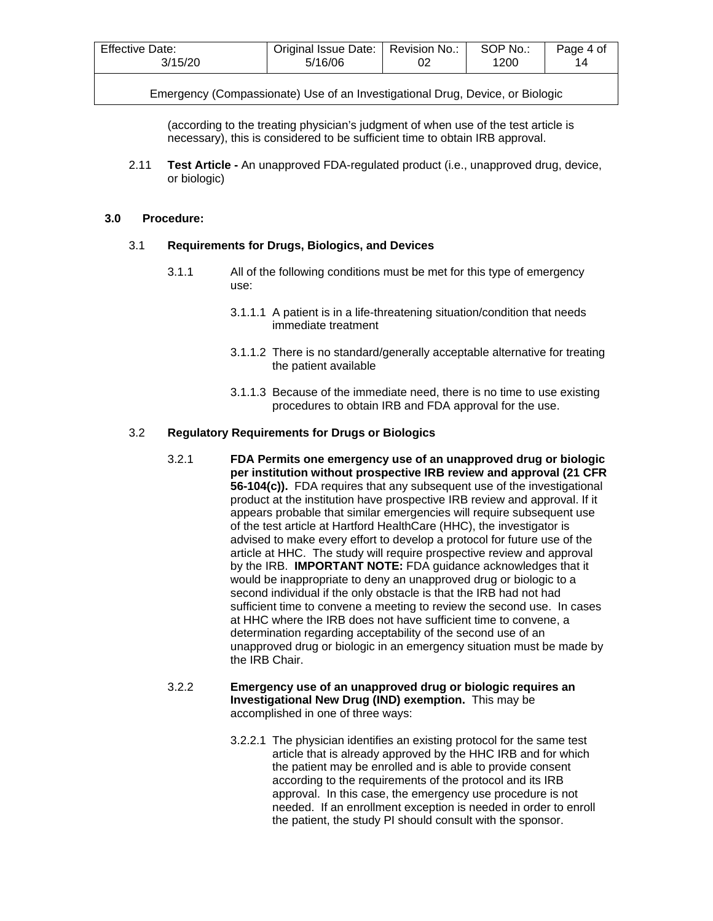| <b>Effective Date:</b> | Original Issue Date:   Revision No.: | SOP No.: | Page 4 of |
|------------------------|--------------------------------------|----------|-----------|
| 3/15/20                | 5/16/06                              | 1200     | 14        |
|                        |                                      |          |           |

(according to the treating physician's judgment of when use of the test article is necessary), this is considered to be sufficient time to obtain IRB approval.

2.11 **Test Article -** An unapproved FDA-regulated product (i.e., unapproved drug, device, or biologic)

#### **3.0 Procedure:**

### 3.1 **Requirements for Drugs, Biologics, and Devices**

- 3.1.1 All of the following conditions must be met for this type of emergency use:
	- 3.1.1.1 A patient is in a life-threatening situation/condition that needs immediate treatment
	- 3.1.1.2 There is no standard/generally acceptable alternative for treating the patient available
	- 3.1.1.3 Because of the immediate need, there is no time to use existing procedures to obtain IRB and FDA approval for the use.

### 3.2 **Regulatory Requirements for Drugs or Biologics**

3.2.1 **FDA Permits one emergency use of an unapproved drug or biologic per institution without prospective IRB review and approval (21 CFR 56-104(c)).** FDA requires that any subsequent use of the investigational product at the institution have prospective IRB review and approval. If it appears probable that similar emergencies will require subsequent use of the test article at Hartford HealthCare (HHC), the investigator is advised to make every effort to develop a protocol for future use of the article at HHC. The study will require prospective review and approval by the IRB. **IMPORTANT NOTE:** FDA guidance acknowledges that it would be inappropriate to deny an unapproved drug or biologic to a second individual if the only obstacle is that the IRB had not had sufficient time to convene a meeting to review the second use. In cases at HHC where the IRB does not have sufficient time to convene, a determination regarding acceptability of the second use of an unapproved drug or biologic in an emergency situation must be made by the IRB Chair.

### 3.2.2 **Emergency use of an unapproved drug or biologic requires an Investigational New Drug (IND) exemption.** This may be accomplished in one of three ways:

3.2.2.1 The physician identifies an existing protocol for the same test article that is already approved by the HHC IRB and for which the patient may be enrolled and is able to provide consent according to the requirements of the protocol and its IRB approval. In this case, the emergency use procedure is not needed. If an enrollment exception is needed in order to enroll the patient, the study PI should consult with the sponsor.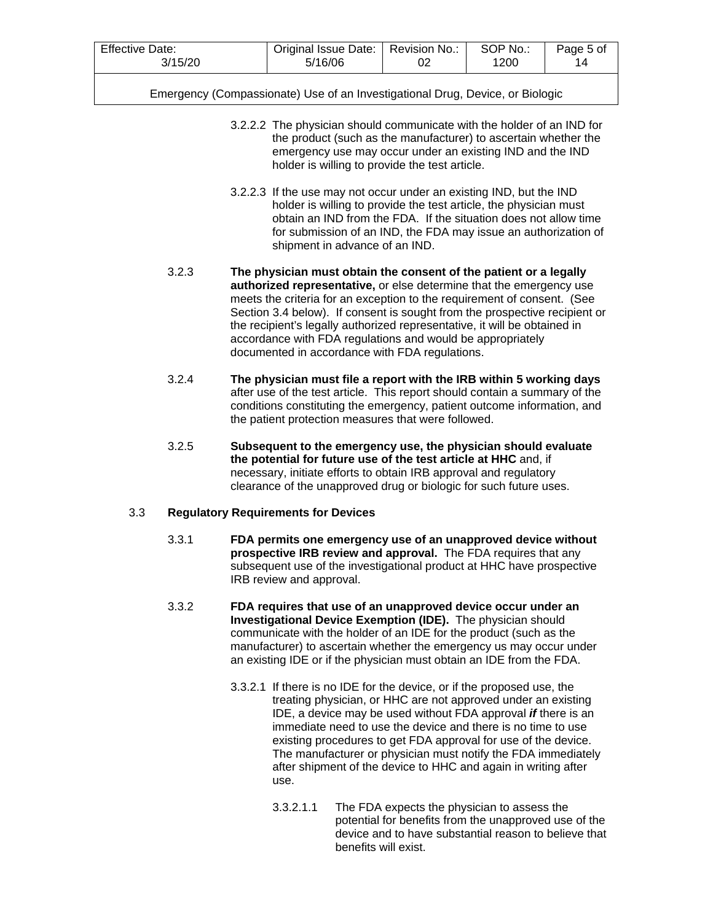| <b>Effective Date:</b> | Original Issue Date:   Revision No.: | SOP No | Page 5 of |
|------------------------|--------------------------------------|--------|-----------|
| 3/15/20                | 5/16/06                              | 1200   | 14        |

- 3.2.2.2 The physician should communicate with the holder of an IND for the product (such as the manufacturer) to ascertain whether the emergency use may occur under an existing IND and the IND holder is willing to provide the test article.
- 3.2.2.3 If the use may not occur under an existing IND, but the IND holder is willing to provide the test article, the physician must obtain an IND from the FDA. If the situation does not allow time for submission of an IND, the FDA may issue an authorization of shipment in advance of an IND.
- 3.2.3 **The physician must obtain the consent of the patient or a legally authorized representative,** or else determine that the emergency use meets the criteria for an exception to the requirement of consent. (See Section 3.4 below). If consent is sought from the prospective recipient or the recipient's legally authorized representative, it will be obtained in accordance with FDA regulations and would be appropriately documented in accordance with FDA regulations.
- 3.2.4 **The physician must file a report with the IRB within 5 working days** after use of the test article. This report should contain a summary of the conditions constituting the emergency, patient outcome information, and the patient protection measures that were followed.
- 3.2.5 **Subsequent to the emergency use, the physician should evaluate the potential for future use of the test article at HHC** and, if necessary, initiate efforts to obtain IRB approval and regulatory clearance of the unapproved drug or biologic for such future uses.

# 3.3 **Regulatory Requirements for Devices**

- 3.3.1 **FDA permits one emergency use of an unapproved device without prospective IRB review and approval.** The FDA requires that any subsequent use of the investigational product at HHC have prospective IRB review and approval.
- 3.3.2 **FDA requires that use of an unapproved device occur under an Investigational Device Exemption (IDE).** The physician should communicate with the holder of an IDE for the product (such as the manufacturer) to ascertain whether the emergency us may occur under an existing IDE or if the physician must obtain an IDE from the FDA.
	- 3.3.2.1 If there is no IDE for the device, or if the proposed use, the treating physician, or HHC are not approved under an existing IDE, a device may be used without FDA approval *if* there is an immediate need to use the device and there is no time to use existing procedures to get FDA approval for use of the device. The manufacturer or physician must notify the FDA immediately after shipment of the device to HHC and again in writing after use.
		- 3.3.2.1.1 The FDA expects the physician to assess the potential for benefits from the unapproved use of the device and to have substantial reason to believe that benefits will exist.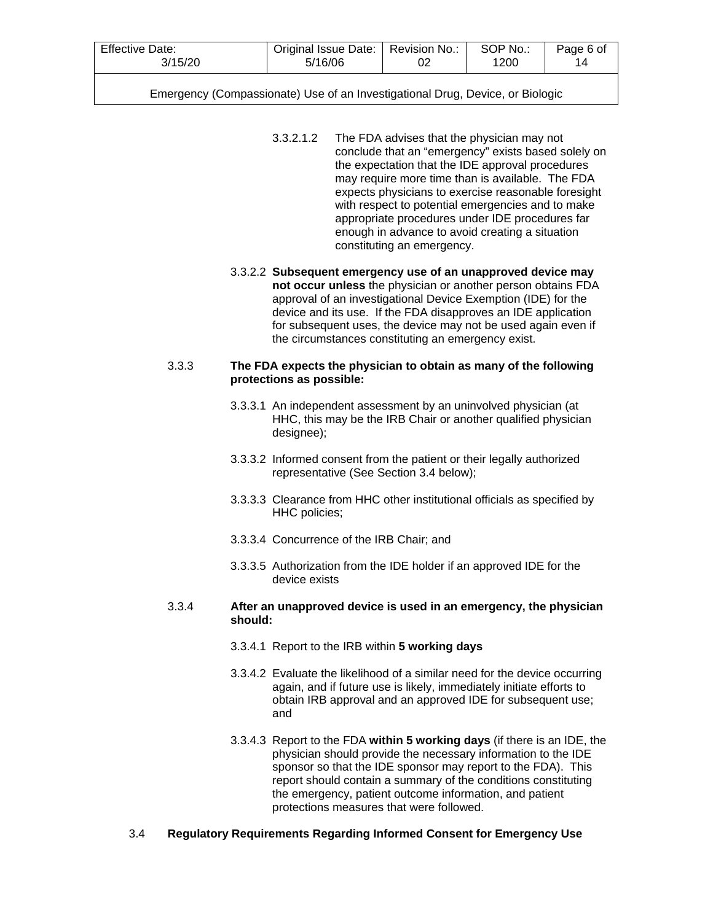| Effective Date: | Original Issue Date:   Revision No.: | SOP No.: | Page 6 of |
|-----------------|--------------------------------------|----------|-----------|
| 3/15/20         | 5/16/06                              | 1200     | 14        |
|                 |                                      |          |           |

- 3.3.2.1.2 The FDA advises that the physician may not conclude that an "emergency" exists based solely on the expectation that the IDE approval procedures may require more time than is available. The FDA expects physicians to exercise reasonable foresight with respect to potential emergencies and to make appropriate procedures under IDE procedures far enough in advance to avoid creating a situation constituting an emergency.
- 3.3.2.2 **Subsequent emergency use of an unapproved device may not occur unless** the physician or another person obtains FDA approval of an investigational Device Exemption (IDE) for the device and its use. If the FDA disapproves an IDE application for subsequent uses, the device may not be used again even if the circumstances constituting an emergency exist.

#### 3.3.3 **The FDA expects the physician to obtain as many of the following protections as possible:**

- 3.3.3.1 An independent assessment by an uninvolved physician (at HHC, this may be the IRB Chair or another qualified physician designee);
- 3.3.3.2 Informed consent from the patient or their legally authorized representative (See Section 3.4 below);
- 3.3.3.3 Clearance from HHC other institutional officials as specified by HHC policies;
- 3.3.3.4 Concurrence of the IRB Chair; and
- 3.3.3.5 Authorization from the IDE holder if an approved IDE for the device exists

#### 3.3.4 **After an unapproved device is used in an emergency, the physician should:**

- 3.3.4.1 Report to the IRB within **5 working days**
- 3.3.4.2 Evaluate the likelihood of a similar need for the device occurring again, and if future use is likely, immediately initiate efforts to obtain IRB approval and an approved IDE for subsequent use; and
- 3.3.4.3 Report to the FDA **within 5 working days** (if there is an IDE, the physician should provide the necessary information to the IDE sponsor so that the IDE sponsor may report to the FDA). This report should contain a summary of the conditions constituting the emergency, patient outcome information, and patient protections measures that were followed.

# 3.4 **Regulatory Requirements Regarding Informed Consent for Emergency Use**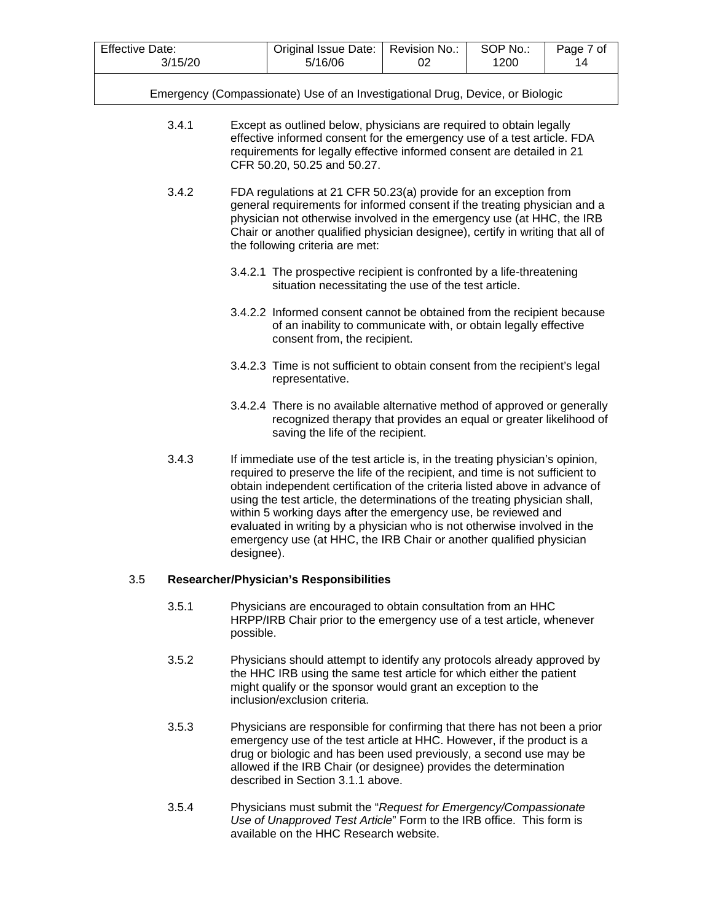| <b>Effective Date:</b> |         |            | Original Issue Date:                                                                                                                                                                                                                                                                                                                                                                                                                                                                                                                              | Revision No.: | SOP No.: | Page 7 of |
|------------------------|---------|------------|---------------------------------------------------------------------------------------------------------------------------------------------------------------------------------------------------------------------------------------------------------------------------------------------------------------------------------------------------------------------------------------------------------------------------------------------------------------------------------------------------------------------------------------------------|---------------|----------|-----------|
|                        | 3/15/20 |            | 5/16/06                                                                                                                                                                                                                                                                                                                                                                                                                                                                                                                                           | 02            | 1200     | 14        |
|                        |         |            | Emergency (Compassionate) Use of an Investigational Drug, Device, or Biologic                                                                                                                                                                                                                                                                                                                                                                                                                                                                     |               |          |           |
|                        | 3.4.1   |            | Except as outlined below, physicians are required to obtain legally<br>effective informed consent for the emergency use of a test article. FDA<br>requirements for legally effective informed consent are detailed in 21<br>CFR 50.20, 50.25 and 50.27.                                                                                                                                                                                                                                                                                           |               |          |           |
|                        | 3.4.2   |            | FDA regulations at 21 CFR 50.23(a) provide for an exception from<br>general requirements for informed consent if the treating physician and a<br>physician not otherwise involved in the emergency use (at HHC, the IRB<br>Chair or another qualified physician designee), certify in writing that all of<br>the following criteria are met:                                                                                                                                                                                                      |               |          |           |
|                        |         |            | 3.4.2.1 The prospective recipient is confronted by a life-threatening<br>situation necessitating the use of the test article.                                                                                                                                                                                                                                                                                                                                                                                                                     |               |          |           |
|                        |         |            | 3.4.2.2 Informed consent cannot be obtained from the recipient because<br>of an inability to communicate with, or obtain legally effective<br>consent from, the recipient.                                                                                                                                                                                                                                                                                                                                                                        |               |          |           |
|                        |         |            | 3.4.2.3 Time is not sufficient to obtain consent from the recipient's legal<br>representative.                                                                                                                                                                                                                                                                                                                                                                                                                                                    |               |          |           |
|                        |         |            | 3.4.2.4 There is no available alternative method of approved or generally<br>recognized therapy that provides an equal or greater likelihood of<br>saving the life of the recipient.                                                                                                                                                                                                                                                                                                                                                              |               |          |           |
|                        | 3.4.3   | designee). | If immediate use of the test article is, in the treating physician's opinion,<br>required to preserve the life of the recipient, and time is not sufficient to<br>obtain independent certification of the criteria listed above in advance of<br>using the test article, the determinations of the treating physician shall,<br>within 5 working days after the emergency use, be reviewed and<br>evaluated in writing by a physician who is not otherwise involved in the<br>emergency use (at HHC, the IRB Chair or another qualified physician |               |          |           |
| 3.5                    |         |            | <b>Researcher/Physician's Responsibilities</b>                                                                                                                                                                                                                                                                                                                                                                                                                                                                                                    |               |          |           |
|                        | 3.5.1   | possible.  | Physicians are encouraged to obtain consultation from an HHC<br>HRPP/IRB Chair prior to the emergency use of a test article, whenever                                                                                                                                                                                                                                                                                                                                                                                                             |               |          |           |
|                        | 3.5.2   |            | Physicians should attempt to identify any protocols already approved by<br>the HHC IRB using the same test article for which either the patient<br>might qualify or the sponsor would grant an exception to the<br>inclusion/exclusion criteria.                                                                                                                                                                                                                                                                                                  |               |          |           |
|                        | 3.5.3   |            | Physicians are responsible for confirming that there has not been a prior<br>emergency use of the test article at HHC. However, if the product is a                                                                                                                                                                                                                                                                                                                                                                                               |               |          |           |

- drug or biologic and has been used previously, a second use may be allowed if the IRB Chair (or designee) provides the determination described in Section 3.1.1 above.
- 3.5.4 Physicians must submit the "*Request for Emergency/Compassionate Use of Unapproved Test Article*" Form to the IRB office. This form is available on the HHC Research website.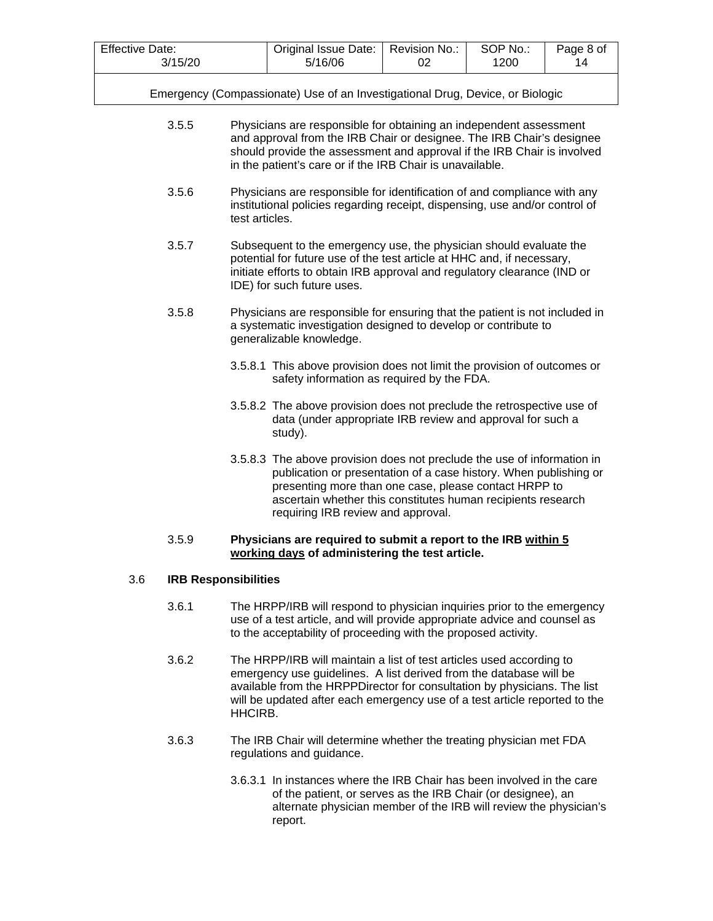- 3.5.5 Physicians are responsible for obtaining an independent assessment and approval from the IRB Chair or designee. The IRB Chair's designee should provide the assessment and approval if the IRB Chair is involved in the patient's care or if the IRB Chair is unavailable.
- 3.5.6 Physicians are responsible for identification of and compliance with any institutional policies regarding receipt, dispensing, use and/or control of test articles.
- 3.5.7 Subsequent to the emergency use, the physician should evaluate the potential for future use of the test article at HHC and, if necessary, initiate efforts to obtain IRB approval and regulatory clearance (IND or IDE) for such future uses.
- 3.5.8 Physicians are responsible for ensuring that the patient is not included in a systematic investigation designed to develop or contribute to generalizable knowledge.
	- 3.5.8.1 This above provision does not limit the provision of outcomes or safety information as required by the FDA.
	- 3.5.8.2 The above provision does not preclude the retrospective use of data (under appropriate IRB review and approval for such a study).
	- 3.5.8.3 The above provision does not preclude the use of information in publication or presentation of a case history. When publishing or presenting more than one case, please contact HRPP to ascertain whether this constitutes human recipients research requiring IRB review and approval.

### 3.5.9 **Physicians are required to submit a report to the IRB within 5 working days of administering the test article.**

# 3.6 **IRB Responsibilities**

- 3.6.1 The HRPP/IRB will respond to physician inquiries prior to the emergency use of a test article, and will provide appropriate advice and counsel as to the acceptability of proceeding with the proposed activity.
- 3.6.2 The HRPP/IRB will maintain a list of test articles used according to emergency use guidelines. A list derived from the database will be available from the HRPPDirector for consultation by physicians. The list will be updated after each emergency use of a test article reported to the HHCIRB.
- 3.6.3 The IRB Chair will determine whether the treating physician met FDA regulations and guidance.
	- 3.6.3.1 In instances where the IRB Chair has been involved in the care of the patient, or serves as the IRB Chair (or designee), an alternate physician member of the IRB will review the physician's report.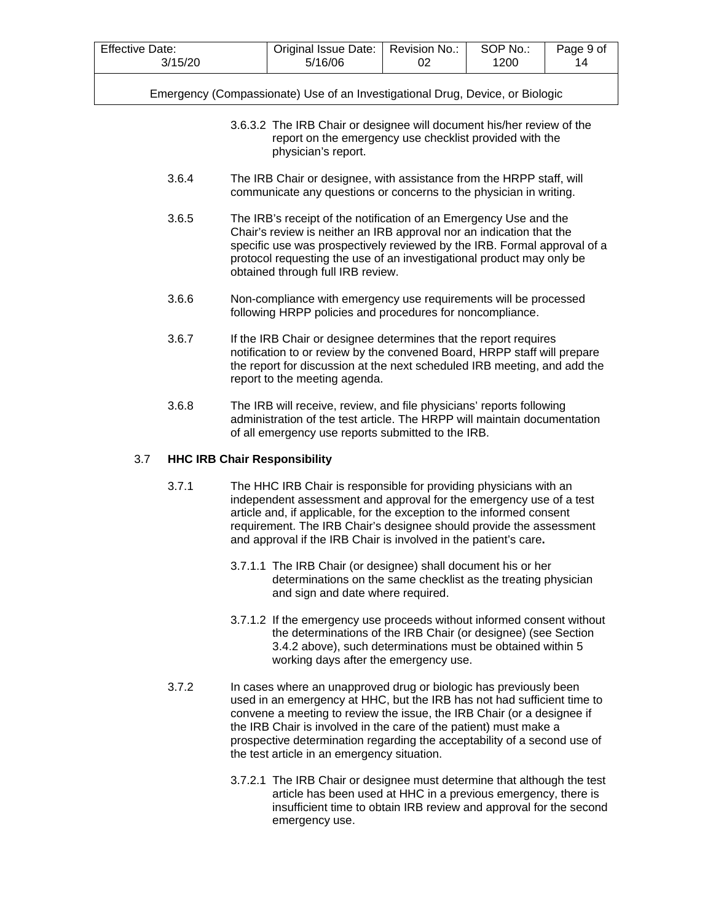| <b>Effective Date:</b> | Original Issue Date:   Revision No.: | SOP No.: | Page 9 of |
|------------------------|--------------------------------------|----------|-----------|
| 3/15/20                | 5/16/06                              | 1200     | 14        |
|                        |                                      |          |           |

- 3.6.3.2 The IRB Chair or designee will document his/her review of the report on the emergency use checklist provided with the physician's report.
- 3.6.4 The IRB Chair or designee, with assistance from the HRPP staff, will communicate any questions or concerns to the physician in writing.
- 3.6.5 The IRB's receipt of the notification of an Emergency Use and the Chair's review is neither an IRB approval nor an indication that the specific use was prospectively reviewed by the IRB. Formal approval of a protocol requesting the use of an investigational product may only be obtained through full IRB review.
- 3.6.6 Non-compliance with emergency use requirements will be processed following HRPP policies and procedures for noncompliance.
- 3.6.7 If the IRB Chair or designee determines that the report requires notification to or review by the convened Board, HRPP staff will prepare the report for discussion at the next scheduled IRB meeting, and add the report to the meeting agenda.
- 3.6.8 The IRB will receive, review, and file physicians' reports following administration of the test article. The HRPP will maintain documentation of all emergency use reports submitted to the IRB.

### 3.7 **HHC IRB Chair Responsibility**

- 3.7.1 The HHC IRB Chair is responsible for providing physicians with an independent assessment and approval for the emergency use of a test article and, if applicable, for the exception to the informed consent requirement. The IRB Chair's designee should provide the assessment and approval if the IRB Chair is involved in the patient's care**.**
	- 3.7.1.1 The IRB Chair (or designee) shall document his or her determinations on the same checklist as the treating physician and sign and date where required.
	- 3.7.1.2 If the emergency use proceeds without informed consent without the determinations of the IRB Chair (or designee) (see Section 3.4.2 above), such determinations must be obtained within 5 working days after the emergency use.
- 3.7.2 In cases where an unapproved drug or biologic has previously been used in an emergency at HHC, but the IRB has not had sufficient time to convene a meeting to review the issue, the IRB Chair (or a designee if the IRB Chair is involved in the care of the patient) must make a prospective determination regarding the acceptability of a second use of the test article in an emergency situation.
	- 3.7.2.1 The IRB Chair or designee must determine that although the test article has been used at HHC in a previous emergency, there is insufficient time to obtain IRB review and approval for the second emergency use.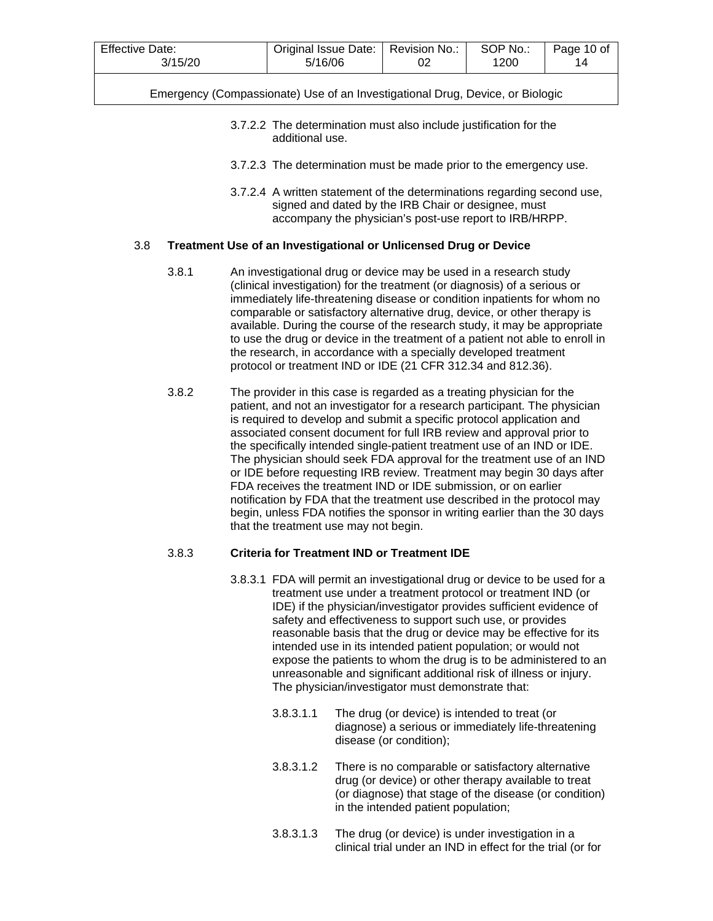| <b>Effective Date:</b><br>3/15/20 | Original Issue Date:   Revision No.:<br>5/16/06 | SOP No.:<br>1200 | Page 10 of |
|-----------------------------------|-------------------------------------------------|------------------|------------|
|                                   |                                                 |                  |            |

- 3.7.2.2 The determination must also include justification for the additional use.
- 3.7.2.3 The determination must be made prior to the emergency use.
- 3.7.2.4 A written statement of the determinations regarding second use, signed and dated by the IRB Chair or designee, must accompany the physician's post-use report to IRB/HRPP.

#### 3.8 **Treatment Use of an Investigational or Unlicensed Drug or Device**

- 3.8.1 An investigational drug or device may be used in a research study (clinical investigation) for the treatment (or diagnosis) of a serious or immediately life-threatening disease or condition inpatients for whom no comparable or satisfactory alternative drug, device, or other therapy is available. During the course of the research study, it may be appropriate to use the drug or device in the treatment of a patient not able to enroll in the research, in accordance with a specially developed treatment protocol or treatment IND or IDE (21 CFR 312.34 and 812.36).
- 3.8.2 The provider in this case is regarded as a treating physician for the patient, and not an investigator for a research participant. The physician is required to develop and submit a specific protocol application and associated consent document for full IRB review and approval prior to the specifically intended single-patient treatment use of an IND or IDE. The physician should seek FDA approval for the treatment use of an IND or IDE before requesting IRB review. Treatment may begin 30 days after FDA receives the treatment IND or IDE submission, or on earlier notification by FDA that the treatment use described in the protocol may begin, unless FDA notifies the sponsor in writing earlier than the 30 days that the treatment use may not begin.

# 3.8.3 **Criteria for Treatment IND or Treatment IDE**

- 3.8.3.1 FDA will permit an investigational drug or device to be used for a treatment use under a treatment protocol or treatment IND (or IDE) if the physician/investigator provides sufficient evidence of safety and effectiveness to support such use, or provides reasonable basis that the drug or device may be effective for its intended use in its intended patient population; or would not expose the patients to whom the drug is to be administered to an unreasonable and significant additional risk of illness or injury. The physician/investigator must demonstrate that:
	- 3.8.3.1.1 The drug (or device) is intended to treat (or diagnose) a serious or immediately life-threatening disease (or condition);
	- 3.8.3.1.2 There is no comparable or satisfactory alternative drug (or device) or other therapy available to treat (or diagnose) that stage of the disease (or condition) in the intended patient population;
	- 3.8.3.1.3 The drug (or device) is under investigation in a clinical trial under an IND in effect for the trial (or for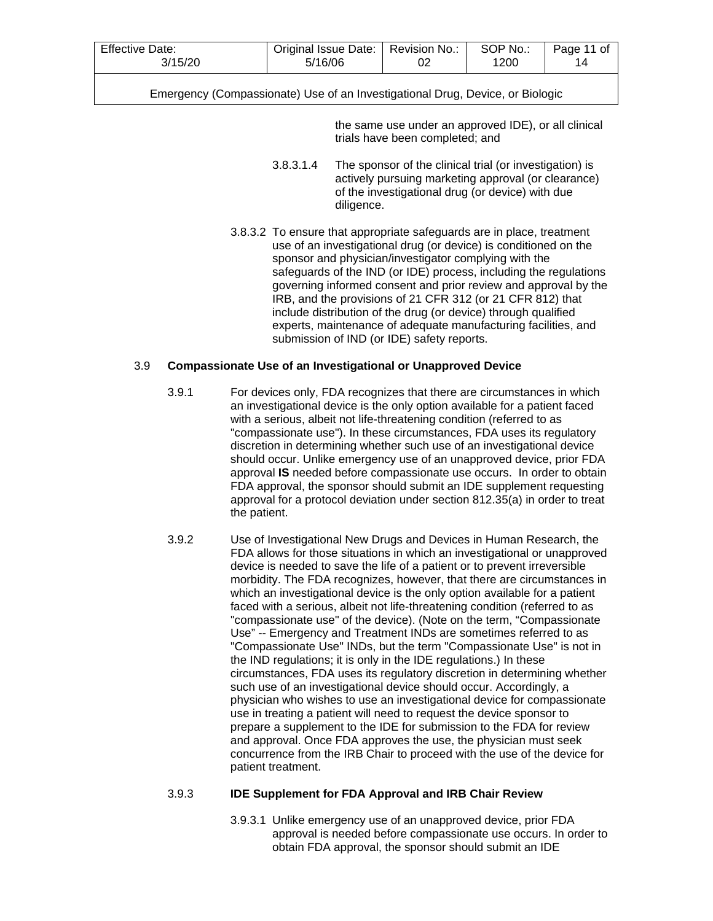| <b>Effective Date:</b> | Original Issue Date:   Revision No.: | SOP No.: | Page 11 of |
|------------------------|--------------------------------------|----------|------------|
| 3/15/20                | 5/16/06                              | 1200     |            |

the same use under an approved IDE), or all clinical trials have been completed; and

- 3.8.3.1.4 The sponsor of the clinical trial (or investigation) is actively pursuing marketing approval (or clearance) of the investigational drug (or device) with due diligence.
- 3.8.3.2 To ensure that appropriate safeguards are in place, treatment use of an investigational drug (or device) is conditioned on the sponsor and physician/investigator complying with the safeguards of the IND (or IDE) process, including the regulations governing informed consent and prior review and approval by the IRB, and the provisions of 21 CFR 312 (or 21 CFR 812) that include distribution of the drug (or device) through qualified experts, maintenance of adequate manufacturing facilities, and submission of IND (or IDE) safety reports.

#### 3.9 **Compassionate Use of an Investigational or Unapproved Device**

- 3.9.1 For devices only, FDA recognizes that there are circumstances in which an investigational device is the only option available for a patient faced with a serious, albeit not life-threatening condition (referred to as "compassionate use"). In these circumstances, FDA uses its regulatory discretion in determining whether such use of an investigational device should occur. Unlike emergency use of an unapproved device, prior FDA approval **IS** needed before compassionate use occurs. In order to obtain FDA approval, the sponsor should submit an IDE supplement requesting approval for a protocol deviation under section 812.35(a) in order to treat the patient.
- 3.9.2 Use of Investigational New Drugs and Devices in Human Research, the FDA allows for those situations in which an investigational or unapproved device is needed to save the life of a patient or to prevent irreversible morbidity. The FDA recognizes, however, that there are circumstances in which an investigational device is the only option available for a patient faced with a serious, albeit not life-threatening condition (referred to as "compassionate use" of the device). (Note on the term, "Compassionate Use" -- Emergency and Treatment INDs are sometimes referred to as "Compassionate Use" INDs, but the term "Compassionate Use" is not in the IND regulations; it is only in the IDE regulations.) In these circumstances, FDA uses its regulatory discretion in determining whether such use of an investigational device should occur. Accordingly, a physician who wishes to use an investigational device for compassionate use in treating a patient will need to request the device sponsor to prepare a supplement to the IDE for submission to the FDA for review and approval. Once FDA approves the use, the physician must seek concurrence from the IRB Chair to proceed with the use of the device for patient treatment.

# 3.9.3 **IDE Supplement for FDA Approval and IRB Chair Review**

3.9.3.1 Unlike emergency use of an unapproved device, prior FDA approval is needed before compassionate use occurs. In order to obtain FDA approval, the sponsor should submit an IDE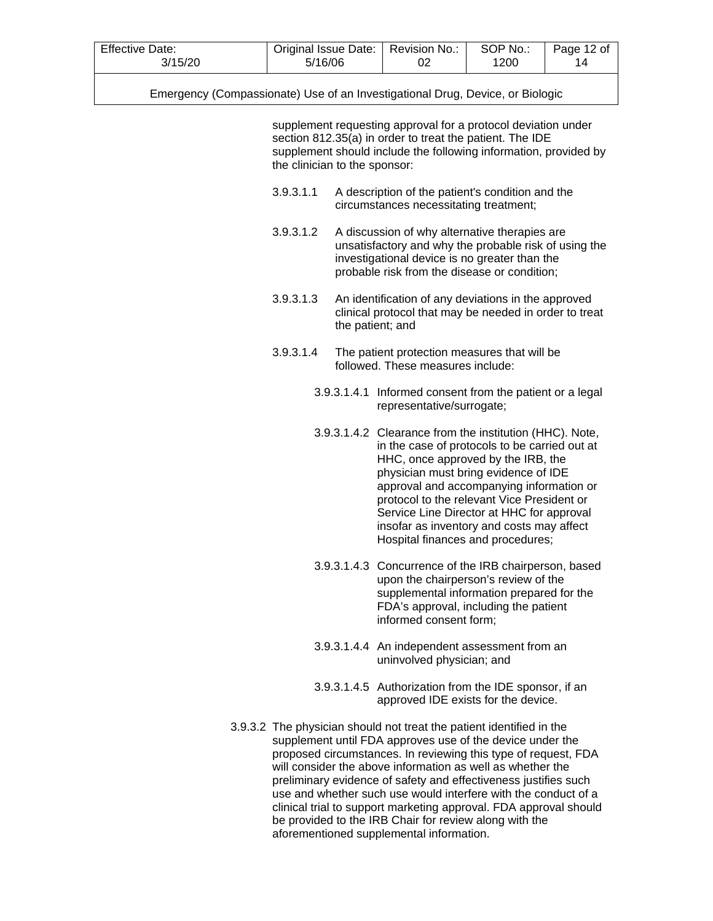| <b>Effective Date:</b> | Original Issue Date:   Revision No.: |           | SOP No.: | Page 12 of |
|------------------------|--------------------------------------|-----------|----------|------------|
| 3/15/20                | 5/16/06                              | <u>UZ</u> | 1200     | 14         |

supplement requesting approval for a protocol deviation under section 812.35(a) in order to treat the patient. The IDE supplement should include the following information, provided by the clinician to the sponsor:

- 3.9.3.1.1 A description of the patient's condition and the circumstances necessitating treatment;
- 3.9.3.1.2 A discussion of why alternative therapies are unsatisfactory and why the probable risk of using the investigational device is no greater than the probable risk from the disease or condition;
- 3.9.3.1.3 An identification of any deviations in the approved clinical protocol that may be needed in order to treat the patient; and
- 3.9.3.1.4 The patient protection measures that will be followed. These measures include:
	- 3.9.3.1.4.1 Informed consent from the patient or a legal representative/surrogate;
	- 3.9.3.1.4.2 Clearance from the institution (HHC). Note, in the case of protocols to be carried out at HHC, once approved by the IRB, the physician must bring evidence of IDE approval and accompanying information or protocol to the relevant Vice President or Service Line Director at HHC for approval insofar as inventory and costs may affect Hospital finances and procedures;
	- 3.9.3.1.4.3 Concurrence of the IRB chairperson, based upon the chairperson's review of the supplemental information prepared for the FDA's approval, including the patient informed consent form;
	- 3.9.3.1.4.4 An independent assessment from an uninvolved physician; and
	- 3.9.3.1.4.5 Authorization from the IDE sponsor, if an approved IDE exists for the device.
- 3.9.3.2 The physician should not treat the patient identified in the supplement until FDA approves use of the device under the proposed circumstances. In reviewing this type of request, FDA will consider the above information as well as whether the preliminary evidence of safety and effectiveness justifies such use and whether such use would interfere with the conduct of a clinical trial to support marketing approval. FDA approval should be provided to the IRB Chair for review along with the aforementioned supplemental information.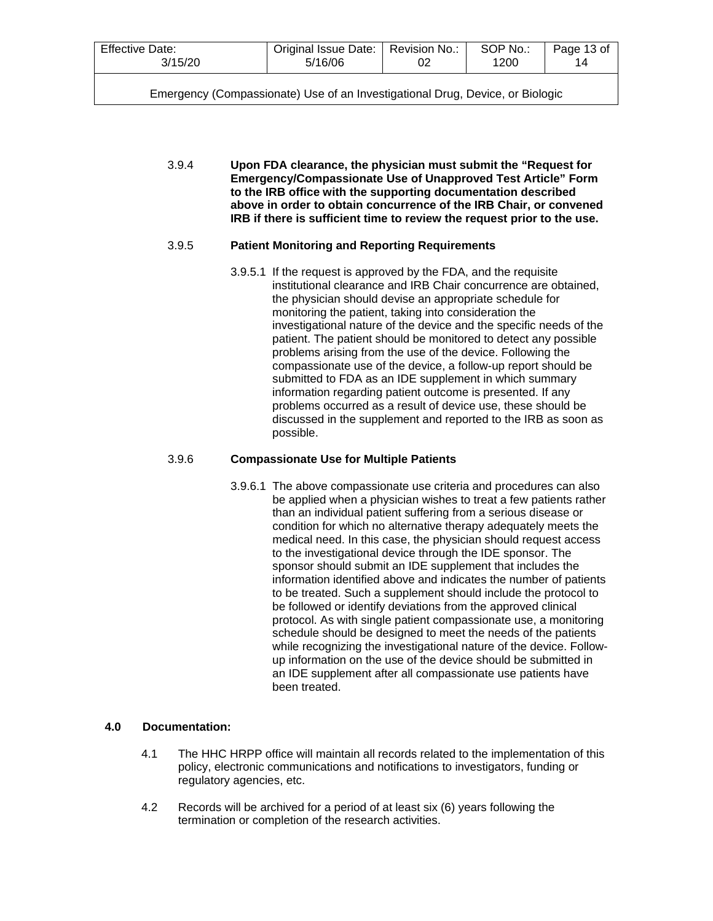| Effective Date:                                                               | Original Issue Date:   Revision No.: |  | SOP No.: | Page 13 of |  |  |  |
|-------------------------------------------------------------------------------|--------------------------------------|--|----------|------------|--|--|--|
| 3/15/20                                                                       | 5/16/06                              |  | 1200     | 14         |  |  |  |
| Emergency (Compassionate) Use of an Investigational Drug, Device, or Biologic |                                      |  |          |            |  |  |  |

3.9.4 **Upon FDA clearance, the physician must submit the "Request for Emergency/Compassionate Use of Unapproved Test Article" Form to the IRB office with the supporting documentation described above in order to obtain concurrence of the IRB Chair, or convened IRB if there is sufficient time to review the request prior to the use.**

### 3.9.5 **Patient Monitoring and Reporting Requirements**

3.9.5.1 If the request is approved by the FDA, and the requisite institutional clearance and IRB Chair concurrence are obtained, the physician should devise an appropriate schedule for monitoring the patient, taking into consideration the investigational nature of the device and the specific needs of the patient. The patient should be monitored to detect any possible problems arising from the use of the device. Following the compassionate use of the device, a follow-up report should be submitted to FDA as an IDE supplement in which summary information regarding patient outcome is presented. If any problems occurred as a result of device use, these should be discussed in the supplement and reported to the IRB as soon as possible.

### 3.9.6 **Compassionate Use for Multiple Patients**

3.9.6.1 The above compassionate use criteria and procedures can also be applied when a physician wishes to treat a few patients rather than an individual patient suffering from a serious disease or condition for which no alternative therapy adequately meets the medical need. In this case, the physician should request access to the investigational device through the IDE sponsor. The sponsor should submit an IDE supplement that includes the information identified above and indicates the number of patients to be treated. Such a supplement should include the protocol to be followed or identify deviations from the approved clinical protocol. As with single patient compassionate use, a monitoring schedule should be designed to meet the needs of the patients while recognizing the investigational nature of the device. Followup information on the use of the device should be submitted in an IDE supplement after all compassionate use patients have been treated.

# **4.0 Documentation:**

- 4.1 The HHC HRPP office will maintain all records related to the implementation of this policy, electronic communications and notifications to investigators, funding or regulatory agencies, etc.
- 4.2 Records will be archived for a period of at least six (6) years following the termination or completion of the research activities.